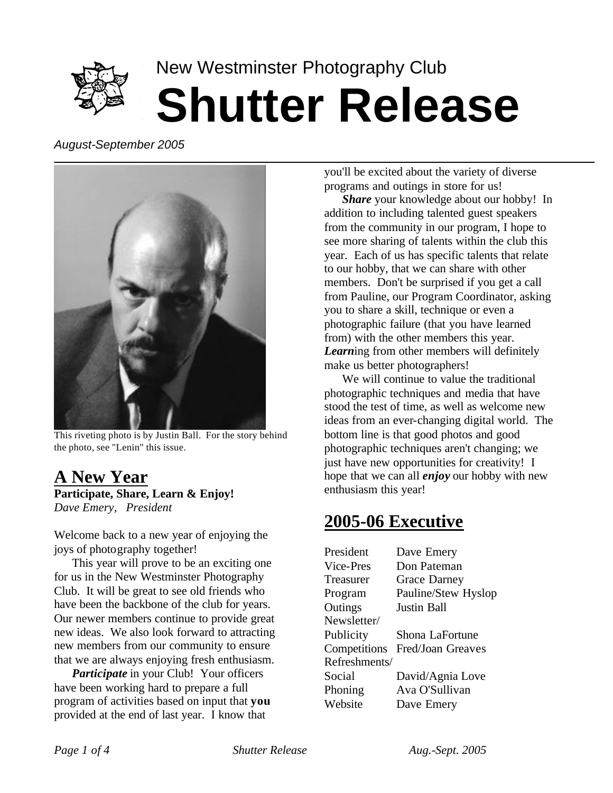

# New Westminster Photography Club **Shutter Release**

*August-September 2005*



This riveting photo is by Justin Ball. For the story behind the photo, see "Lenin" this issue.

#### **A New Year Participate, Share, Learn & Enjoy!** *Dave Emery, President*

Welcome back to a new year of enjoying the joys of photography together!

This year will prove to be an exciting one for us in the New Westminster Photography Club. It will be great to see old friends who have been the backbone of the club for years. Our newer members continue to provide great new ideas. We also look forward to attracting new members from our community to ensure that we are always enjoying fresh enthusiasm.

*Participate* in your Club! Your officers have been working hard to prepare a full program of activities based on input that **you** provided at the end of last year. I know that

you'll be excited about the variety of diverse programs and outings in store for us!

*Share* your knowledge about our hobby! In addition to including talented guest speakers from the community in our program, I hope to see more sharing of talents within the club this year. Each of us has specific talents that relate to our hobby, that we can share with other members. Don't be surprised if you get a call from Pauline, our Program Coordinator, asking you to share a skill, technique or even a photographic failure (that you have learned from) with the other members this year. *Learn*ing from other members will definitely make us better photographers!

We will continue to value the traditional photographic techniques and media that have stood the test of time, as well as welcome new ideas from an ever-changing digital world. The bottom line is that good photos and good photographic techniques aren't changing; we just have new opportunities for creativity! I hope that we can all *enjoy* our hobby with new enthusiasm this year!

### **2005-06 Executive**

| President     | Dave Emery          |
|---------------|---------------------|
| Vice-Pres     | Don Pateman         |
| Treasurer     | <b>Grace Darney</b> |
| Program       | Pauline/Stew Hyslop |
| Outings       | Justin Ball         |
| Newsletter/   |                     |
| Publicity     | Shona LaFortune     |
| Competitions  | Fred/Joan Greaves   |
| Refreshments/ |                     |
| Social        | David/Agnia Love    |
| Phoning       | Ava O'Sullivan      |
| Website       | Dave Emery          |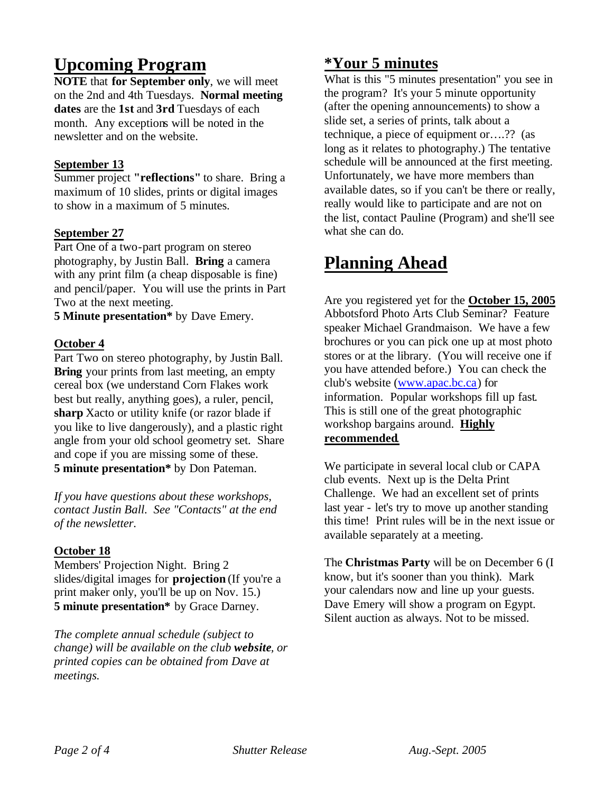# **Upcoming Program**

**NOTE** that **for September only**, we will meet on the 2nd and 4th Tuesdays. **Normal meeting dates** are the **1st** and **3rd** Tuesdays of each month. Any exceptions will be noted in the newsletter and on the website.

#### **September 13**

Summer project **"reflections"** to share. Bring a maximum of 10 slides, prints or digital images to show in a maximum of 5 minutes.

#### **September 27**

Part One of a two-part program on stereo photography, by Justin Ball. **Bring** a camera with any print film (a cheap disposable is fine) and pencil/paper. You will use the prints in Part Two at the next meeting.

**5 Minute presentation\*** by Dave Emery.

#### **October 4**

Part Two on stereo photography, by Justin Ball. **Bring** your prints from last meeting, an empty cereal box (we understand Corn Flakes work best but really, anything goes), a ruler, pencil, **sharp** Xacto or utility knife (or razor blade if you like to live dangerously), and a plastic right angle from your old school geometry set. Share and cope if you are missing some of these. **5 minute presentation\*** by Don Pateman.

*If you have questions about these workshops, contact Justin Ball. See "Contacts" at the end of the newsletter.*

#### **October 18**

Members' Projection Night. Bring 2 slides/digital images for **projection** (If you're a print maker only, you'll be up on Nov. 15.) **5 minute presentation\*** by Grace Darney.

*The complete annual schedule (subject to change) will be available on the club website, or printed copies can be obtained from Dave at meetings.*

#### **\*Your 5 minutes**

What is this "5 minutes presentation" you see in the program? It's your 5 minute opportunity (after the opening announcements) to show a slide set, a series of prints, talk about a technique, a piece of equipment or….?? (as long as it relates to photography.) The tentative schedule will be announced at the first meeting. Unfortunately, we have more members than available dates, so if you can't be there or really, really would like to participate and are not on the list, contact Pauline (Program) and she'll see what she can do.

### **Planning Ahead**

Are you registered yet for the **October 15, 2005** Abbotsford Photo Arts Club Seminar? Feature speaker Michael Grandmaison. We have a few brochures or you can pick one up at most photo stores or at the library. (You will receive one if you have attended before.) You can check the club's website (www.apac.bc.ca) for information. Popular workshops fill up fast. This is still one of the great photographic workshop bargains around. **Highly recommended**.

We participate in several local club or CAPA club events. Next up is the Delta Print Challenge. We had an excellent set of prints last year - let's try to move up another standing this time! Print rules will be in the next issue or available separately at a meeting.

The **Christmas Party** will be on December 6 (I know, but it's sooner than you think). Mark your calendars now and line up your guests. Dave Emery will show a program on Egypt. Silent auction as always. Not to be missed.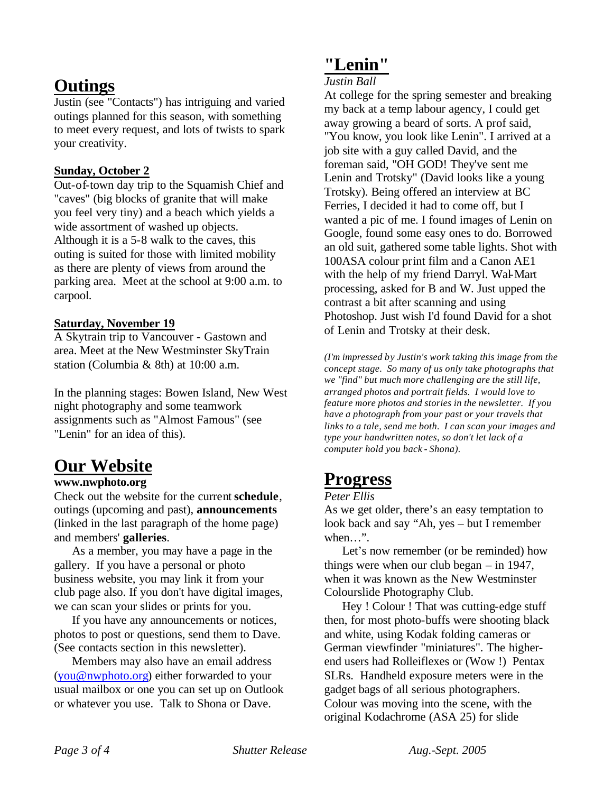### **Outings**

Justin (see "Contacts") has intriguing and varied outings planned for this season, with something to meet every request, and lots of twists to spark your creativity.

#### **Sunday, October 2**

Out-of-town day trip to the Squamish Chief and "caves" (big blocks of granite that will make you feel very tiny) and a beach which yields a wide assortment of washed up objects. Although it is a 5-8 walk to the caves, this outing is suited for those with limited mobility as there are plenty of views from around the parking area. Meet at the school at 9:00 a.m. to carpool.

#### **Saturday, November 19**

A Skytrain trip to Vancouver - Gastown and area. Meet at the New Westminster SkyTrain station (Columbia & 8th) at 10:00 a.m.

In the planning stages: Bowen Island, New West night photography and some teamwork assignments such as "Almost Famous" (see "Lenin" for an idea of this).

### **Our Website**

#### **www.nwphoto.org**

Check out the website for the current **schedule**, outings (upcoming and past), **announcements**  (linked in the last paragraph of the home page) and members' **galleries**.

As a member, you may have a page in the gallery. If you have a personal or photo business website, you may link it from your club page also. If you don't have digital images, we can scan your slides or prints for you.

If you have any announcements or notices, photos to post or questions, send them to Dave. (See contacts section in this newsletter).

Members may also have an email address (you@nwphoto.org) either forwarded to your usual mailbox or one you can set up on Outlook or whatever you use. Talk to Shona or Dave.

#### **"Lenin"**

#### *Justin Ball*

At college for the spring semester and breaking my back at a temp labour agency, I could get away growing a beard of sorts. A prof said, "You know, you look like Lenin". I arrived at a job site with a guy called David, and the foreman said, "OH GOD! They've sent me Lenin and Trotsky" (David looks like a young Trotsky). Being offered an interview at BC Ferries, I decided it had to come off, but I wanted a pic of me. I found images of Lenin on Google, found some easy ones to do. Borrowed an old suit, gathered some table lights. Shot with 100ASA colour print film and a Canon AE1 with the help of my friend Darryl. Wal-Mart processing, asked for B and W. Just upped the contrast a bit after scanning and using Photoshop. Just wish I'd found David for a shot of Lenin and Trotsky at their desk.

*(I'm impressed by Justin's work taking this image from the concept stage. So many of us only take photographs that we "find" but much more challenging are the still life, arranged photos and portrait fields. I would love to feature more photos and stories in the newsletter. If you have a photograph from your past or your travels that links to a tale, send me both. I can scan your images and type your handwritten notes, so don't let lack of a computer hold you back - Shona).*

### **Progress**

#### *Peter Ellis*

As we get older, there's an easy temptation to look back and say "Ah, yes – but I remember when…".

Let's now remember (or be reminded) how things were when our club began – in 1947, when it was known as the New Westminster Colourslide Photography Club.

Hey ! Colour ! That was cutting-edge stuff then, for most photo-buffs were shooting black and white, using Kodak folding cameras or German viewfinder "miniatures". The higherend users had Rolleiflexes or (Wow !) Pentax SLRs. Handheld exposure meters were in the gadget bags of all serious photographers. Colour was moving into the scene, with the original Kodachrome (ASA 25) for slide